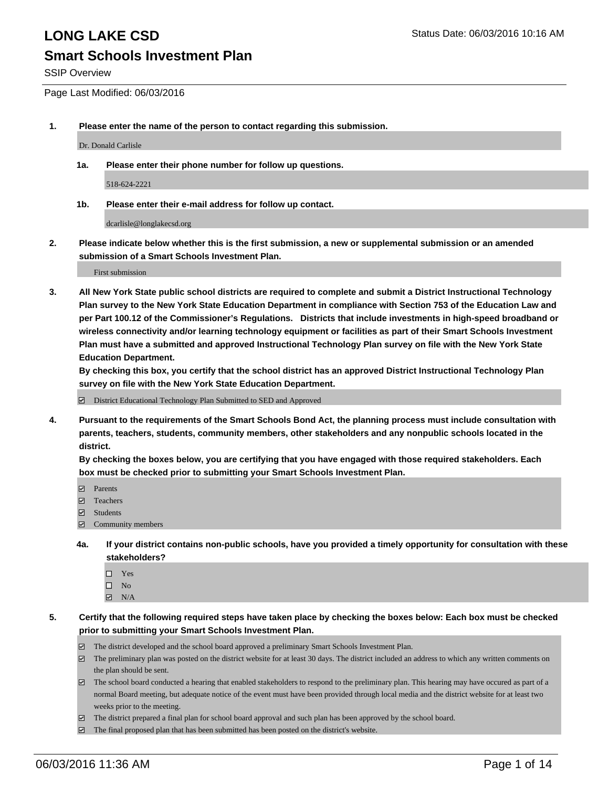SSIP Overview

Page Last Modified: 06/03/2016

**1. Please enter the name of the person to contact regarding this submission.**

Dr. Donald Carlisle

**1a. Please enter their phone number for follow up questions.**

518-624-2221

**1b. Please enter their e-mail address for follow up contact.**

dcarlisle@longlakecsd.org

**2. Please indicate below whether this is the first submission, a new or supplemental submission or an amended submission of a Smart Schools Investment Plan.**

First submission

**3. All New York State public school districts are required to complete and submit a District Instructional Technology Plan survey to the New York State Education Department in compliance with Section 753 of the Education Law and per Part 100.12 of the Commissioner's Regulations. Districts that include investments in high-speed broadband or wireless connectivity and/or learning technology equipment or facilities as part of their Smart Schools Investment Plan must have a submitted and approved Instructional Technology Plan survey on file with the New York State Education Department.** 

**By checking this box, you certify that the school district has an approved District Instructional Technology Plan survey on file with the New York State Education Department.**

District Educational Technology Plan Submitted to SED and Approved

**4. Pursuant to the requirements of the Smart Schools Bond Act, the planning process must include consultation with parents, teachers, students, community members, other stakeholders and any nonpublic schools located in the district.** 

**By checking the boxes below, you are certifying that you have engaged with those required stakeholders. Each box must be checked prior to submitting your Smart Schools Investment Plan.**

- **Parents**
- Teachers
- $\blacksquare$  Students
- Community members
- **4a. If your district contains non-public schools, have you provided a timely opportunity for consultation with these stakeholders?**
	- $\Box$  Yes  $\square$  No
	- $\boxtimes$  N/A
- **5. Certify that the following required steps have taken place by checking the boxes below: Each box must be checked prior to submitting your Smart Schools Investment Plan.**
	- The district developed and the school board approved a preliminary Smart Schools Investment Plan.
	- $\boxdot$  The preliminary plan was posted on the district website for at least 30 days. The district included an address to which any written comments on the plan should be sent.
	- $\Box$  The school board conducted a hearing that enabled stakeholders to respond to the preliminary plan. This hearing may have occured as part of a normal Board meeting, but adequate notice of the event must have been provided through local media and the district website for at least two weeks prior to the meeting.
	- The district prepared a final plan for school board approval and such plan has been approved by the school board.
	- $\boxdot$  The final proposed plan that has been submitted has been posted on the district's website.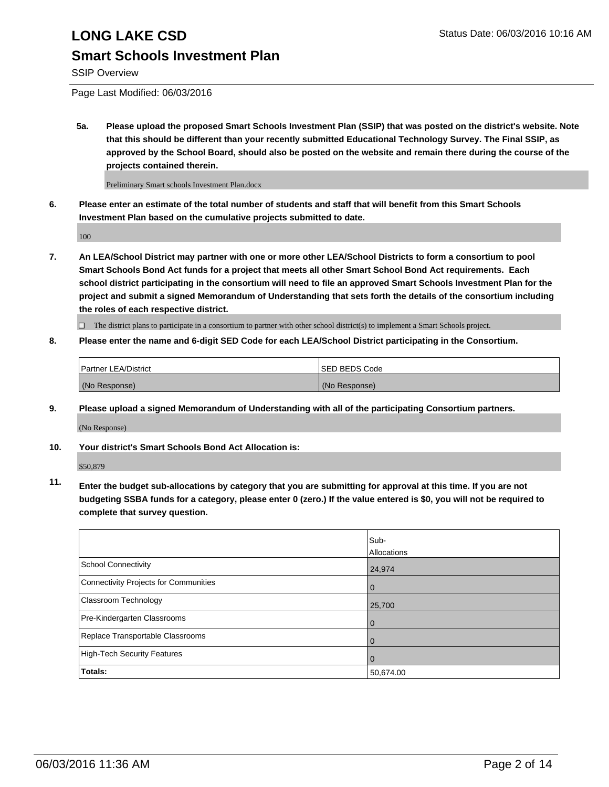## **Smart Schools Investment Plan**

SSIP Overview

Page Last Modified: 06/03/2016

**5a. Please upload the proposed Smart Schools Investment Plan (SSIP) that was posted on the district's website. Note that this should be different than your recently submitted Educational Technology Survey. The Final SSIP, as approved by the School Board, should also be posted on the website and remain there during the course of the projects contained therein.**

Preliminary Smart schools Investment Plan.docx

**6. Please enter an estimate of the total number of students and staff that will benefit from this Smart Schools Investment Plan based on the cumulative projects submitted to date.**

100

**7. An LEA/School District may partner with one or more other LEA/School Districts to form a consortium to pool Smart Schools Bond Act funds for a project that meets all other Smart School Bond Act requirements. Each school district participating in the consortium will need to file an approved Smart Schools Investment Plan for the project and submit a signed Memorandum of Understanding that sets forth the details of the consortium including the roles of each respective district.**

 $\Box$  The district plans to participate in a consortium to partner with other school district(s) to implement a Smart Schools project.

**8. Please enter the name and 6-digit SED Code for each LEA/School District participating in the Consortium.**

| <b>Partner LEA/District</b> | ISED BEDS Code |
|-----------------------------|----------------|
| (No Response)               | (No Response)  |

**9. Please upload a signed Memorandum of Understanding with all of the participating Consortium partners.**

(No Response)

**10. Your district's Smart Schools Bond Act Allocation is:**

\$50,879

**11. Enter the budget sub-allocations by category that you are submitting for approval at this time. If you are not budgeting SSBA funds for a category, please enter 0 (zero.) If the value entered is \$0, you will not be required to complete that survey question.**

|                                       | Sub-<br>Allocations |
|---------------------------------------|---------------------|
| School Connectivity                   | 24,974              |
| Connectivity Projects for Communities | $\Omega$            |
| <b>Classroom Technology</b>           | 25,700              |
| Pre-Kindergarten Classrooms           | $\Omega$            |
| Replace Transportable Classrooms      | 0                   |
| High-Tech Security Features           | $\Omega$            |
| Totals:                               | 50,674.00           |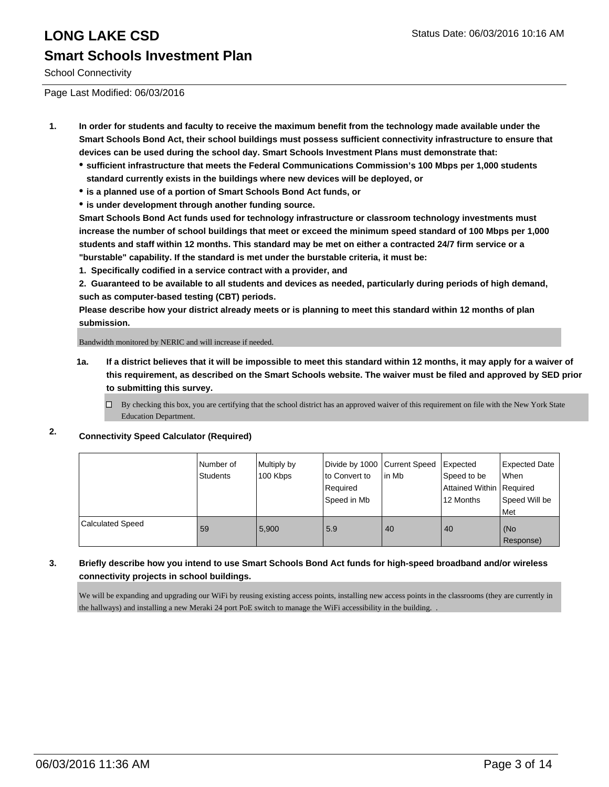School Connectivity

Page Last Modified: 06/03/2016

- **1. In order for students and faculty to receive the maximum benefit from the technology made available under the Smart Schools Bond Act, their school buildings must possess sufficient connectivity infrastructure to ensure that devices can be used during the school day. Smart Schools Investment Plans must demonstrate that:**
	- **sufficient infrastructure that meets the Federal Communications Commission's 100 Mbps per 1,000 students standard currently exists in the buildings where new devices will be deployed, or**
	- **is a planned use of a portion of Smart Schools Bond Act funds, or**
	- **is under development through another funding source.**

**Smart Schools Bond Act funds used for technology infrastructure or classroom technology investments must increase the number of school buildings that meet or exceed the minimum speed standard of 100 Mbps per 1,000 students and staff within 12 months. This standard may be met on either a contracted 24/7 firm service or a "burstable" capability. If the standard is met under the burstable criteria, it must be:**

**1. Specifically codified in a service contract with a provider, and**

**2. Guaranteed to be available to all students and devices as needed, particularly during periods of high demand, such as computer-based testing (CBT) periods.**

**Please describe how your district already meets or is planning to meet this standard within 12 months of plan submission.**

Bandwidth monitored by NERIC and will increase if needed.

- **1a. If a district believes that it will be impossible to meet this standard within 12 months, it may apply for a waiver of this requirement, as described on the Smart Schools website. The waiver must be filed and approved by SED prior to submitting this survey.**
	- $\Box$  By checking this box, you are certifying that the school district has an approved waiver of this requirement on file with the New York State Education Department.

#### **2. Connectivity Speed Calculator (Required)**

|                         | Number of<br>Students | Multiply by<br>100 Kbps | Divide by 1000 Current Speed<br>lto Convert to<br>Required<br>Speed in Mb | lin Mb | Expected<br>Speed to be<br>Attained Within   Required<br>12 Months | <b>Expected Date</b><br><b>When</b><br>Speed Will be<br>l Met |
|-------------------------|-----------------------|-------------------------|---------------------------------------------------------------------------|--------|--------------------------------------------------------------------|---------------------------------------------------------------|
| <b>Calculated Speed</b> | 59                    | 5.900                   | 5.9                                                                       | 40     | 40                                                                 | (No<br>Response)                                              |

#### **3. Briefly describe how you intend to use Smart Schools Bond Act funds for high-speed broadband and/or wireless connectivity projects in school buildings.**

We will be expanding and upgrading our WiFi by reusing existing access points, installing new access points in the classrooms (they are currently in the hallways) and installing a new Meraki 24 port PoE switch to manage the WiFi accessibility in the building. .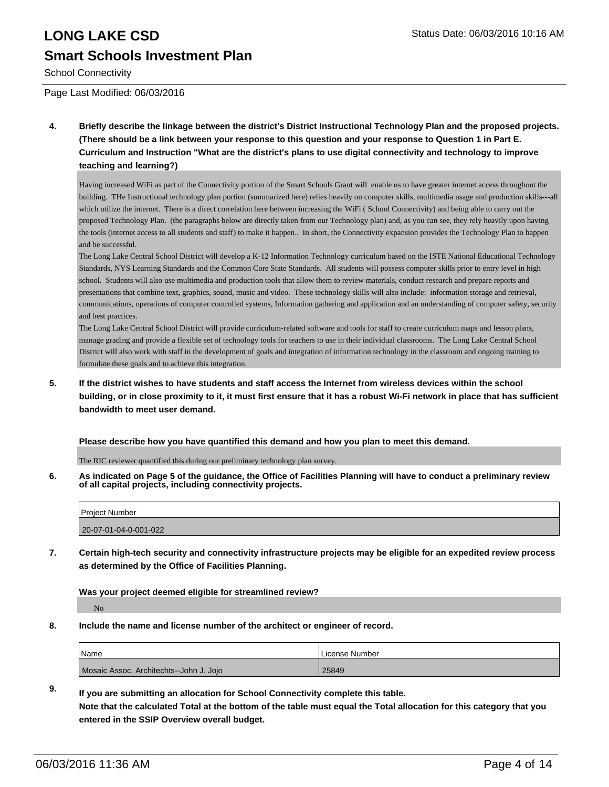School Connectivity

Page Last Modified: 06/03/2016

**4. Briefly describe the linkage between the district's District Instructional Technology Plan and the proposed projects. (There should be a link between your response to this question and your response to Question 1 in Part E. Curriculum and Instruction "What are the district's plans to use digital connectivity and technology to improve teaching and learning?)**

Having increased WiFi as part of the Connectivity portion of the Smart Schools Grant will enable us to have greater internet access throughout the building. THe Instructional technology plan portion (summarized here) relies heavily on computer skills, multimedia usage and production skills---all which utilize the internet. There is a direct correlation here between increasing the WiFi (School Connectivity) and being able to carry out the proposed Technology Plan. (the paragraphs below are directly taken from our Technology plan) and, as you can see, they rely heavily upon having the tools (internet access to all students and staff) to make it happen.. In short, the Connectivity expansion provides the Technology Plan to happen and be successful.

The Long Lake Central School District will develop a K-12 Information Technology curriculum based on the ISTE National Educational Technology Standards, NYS Learning Standards and the Common Core State Standards. All students will possess computer skills prior to entry level in high school. Students will also use multimedia and production tools that allow them to review materials, conduct research and prepare reports and presentations that combine text, graphics, sound, music and video. These technology skills will also include: information storage and retrieval, communications, operations of computer controlled systems, Information gathering and application and an understanding of computer safety, security and best practices.

The Long Lake Central School District will provide curriculum-related software and tools for staff to create curriculum maps and lesson plans, manage grading and provide a flexible set of technology tools for teachers to use in their individual classrooms. The Long Lake Central School District will also work with staff in the development of goals and integration of information technology in the classroom and ongoing training to formulate these goals and to achieve this integration.

**5. If the district wishes to have students and staff access the Internet from wireless devices within the school building, or in close proximity to it, it must first ensure that it has a robust Wi-Fi network in place that has sufficient bandwidth to meet user demand.**

**Please describe how you have quantified this demand and how you plan to meet this demand.**

The RIC reviewer quantified this during our preliminary technology plan survey.

**6. As indicated on Page 5 of the guidance, the Office of Facilities Planning will have to conduct a preliminary review of all capital projects, including connectivity projects.**

| <b>Project Number</b> |  |
|-----------------------|--|
| 20-07-01-04-0-001-022 |  |
|                       |  |

**7. Certain high-tech security and connectivity infrastructure projects may be eligible for an expedited review process as determined by the Office of Facilities Planning.**

**Was your project deemed eligible for streamlined review?**

No

**8. Include the name and license number of the architect or engineer of record.**

| <b>Name</b>                            | <b>ILicense Number</b> |
|----------------------------------------|------------------------|
| Mosaic Assoc. Architechts-John J. Jojo | 25849                  |

**9. If you are submitting an allocation for School Connectivity complete this table. Note that the calculated Total at the bottom of the table must equal the Total allocation for this category that you entered in the SSIP Overview overall budget.**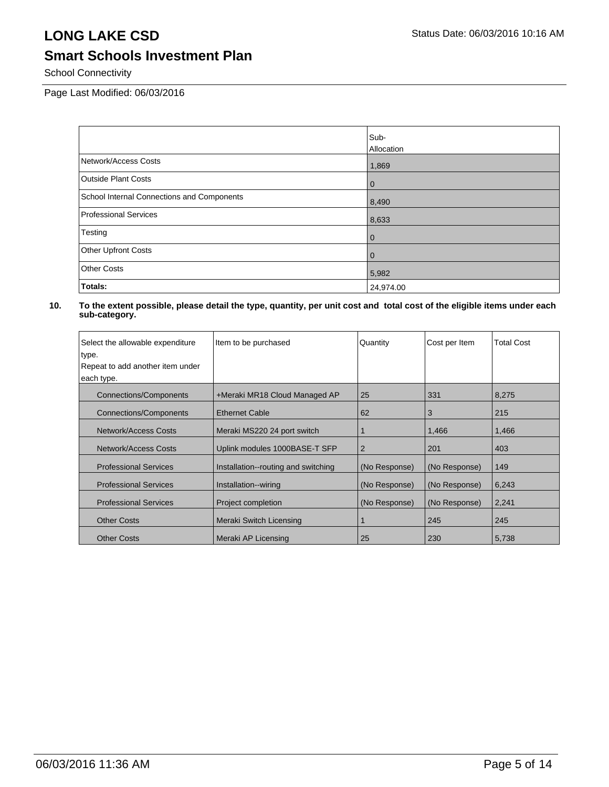## **Smart Schools Investment Plan**

School Connectivity

Page Last Modified: 06/03/2016

|                                            | Sub-<br>Allocation |
|--------------------------------------------|--------------------|
| Network/Access Costs                       | 1,869              |
| <b>Outside Plant Costs</b>                 | $\overline{0}$     |
| School Internal Connections and Components | 8,490              |
| Professional Services                      | 8,633              |
| Testing                                    | $\overline{0}$     |
| <b>Other Upfront Costs</b>                 | l 0                |
| <b>Other Costs</b>                         | 5,982              |
| Totals:                                    | 24,974.00          |

| Select the allowable expenditure | Item to be purchased                | Quantity       | Cost per Item | <b>Total Cost</b> |
|----------------------------------|-------------------------------------|----------------|---------------|-------------------|
| type.                            |                                     |                |               |                   |
| Repeat to add another item under |                                     |                |               |                   |
| each type.                       |                                     |                |               |                   |
| Connections/Components           | +Meraki MR18 Cloud Managed AP       | 25             | 331           | 8,275             |
| Connections/Components           | <b>Ethernet Cable</b>               | 62             | 3             | 215               |
| Network/Access Costs             | Meraki MS220 24 port switch         |                | 1,466         | 1,466             |
| Network/Access Costs             | Uplink modules 1000BASE-T SFP       | $\overline{2}$ | 201           | 403               |
| <b>Professional Services</b>     | Installation--routing and switching | (No Response)  | (No Response) | 149               |
| <b>Professional Services</b>     | Installation--wiring                | (No Response)  | (No Response) | 6,243             |
| <b>Professional Services</b>     | Project completion                  | (No Response)  | (No Response) | 2,241             |
| <b>Other Costs</b>               | Meraki Switch Licensing             |                | 245           | 245               |
| <b>Other Costs</b>               | Meraki AP Licensing                 | 25             | 230           | 5,738             |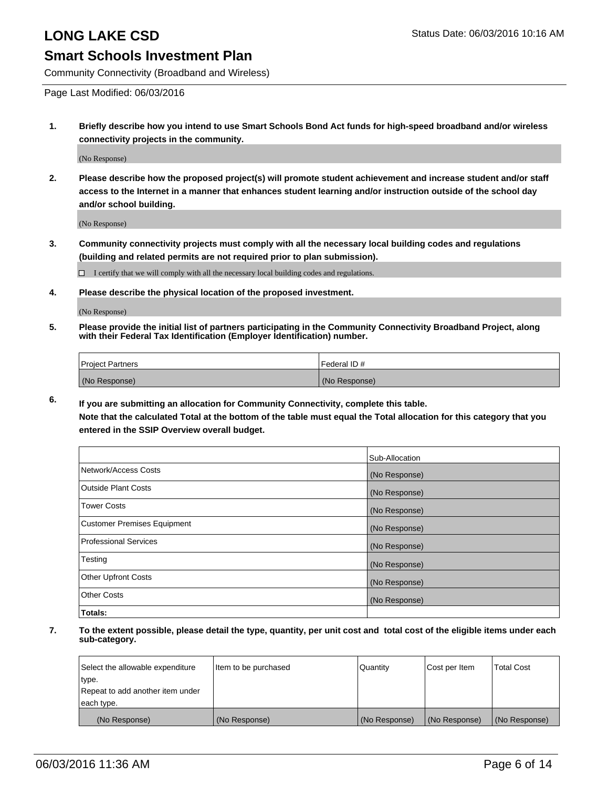Community Connectivity (Broadband and Wireless)

Page Last Modified: 06/03/2016

**1. Briefly describe how you intend to use Smart Schools Bond Act funds for high-speed broadband and/or wireless connectivity projects in the community.**

(No Response)

**2. Please describe how the proposed project(s) will promote student achievement and increase student and/or staff access to the Internet in a manner that enhances student learning and/or instruction outside of the school day and/or school building.**

(No Response)

**3. Community connectivity projects must comply with all the necessary local building codes and regulations (building and related permits are not required prior to plan submission).**

 $\Box$  I certify that we will comply with all the necessary local building codes and regulations.

**4. Please describe the physical location of the proposed investment.**

(No Response)

**5. Please provide the initial list of partners participating in the Community Connectivity Broadband Project, along with their Federal Tax Identification (Employer Identification) number.**

| Project Partners | <b>IFederal ID#</b> |
|------------------|---------------------|
| (No Response)    | (No Response)       |

**6. If you are submitting an allocation for Community Connectivity, complete this table. Note that the calculated Total at the bottom of the table must equal the Total allocation for this category that you**

**entered in the SSIP Overview overall budget.**

|                             | Sub-Allocation |
|-----------------------------|----------------|
| Network/Access Costs        | (No Response)  |
| Outside Plant Costs         | (No Response)  |
| <b>Tower Costs</b>          | (No Response)  |
| Customer Premises Equipment | (No Response)  |
| Professional Services       | (No Response)  |
| Testing                     | (No Response)  |
| Other Upfront Costs         | (No Response)  |
| Other Costs                 | (No Response)  |
| Totals:                     |                |

| Select the allowable expenditure | Item to be purchased | Quantity      | Cost per Item | <b>Total Cost</b> |
|----------------------------------|----------------------|---------------|---------------|-------------------|
| type.                            |                      |               |               |                   |
| Repeat to add another item under |                      |               |               |                   |
| each type.                       |                      |               |               |                   |
| (No Response)                    | (No Response)        | (No Response) | (No Response) | (No Response)     |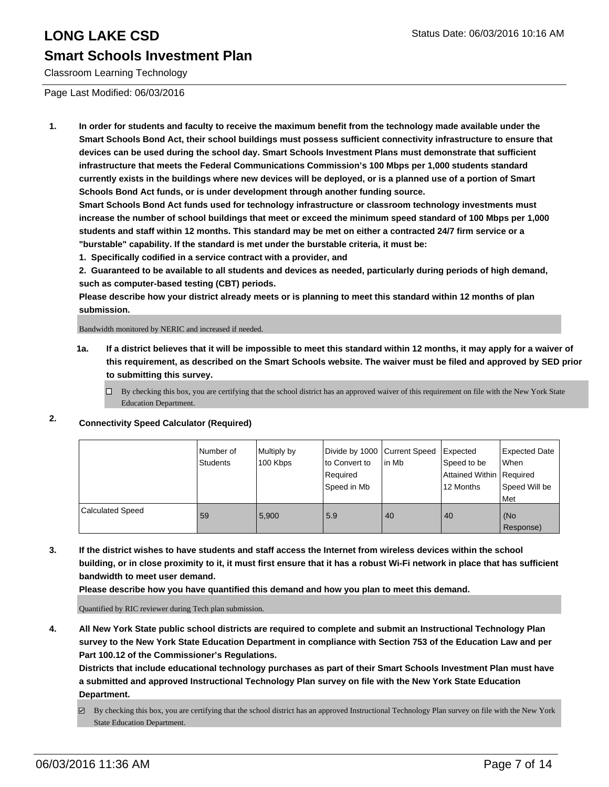### **Smart Schools Investment Plan**

Classroom Learning Technology

Page Last Modified: 06/03/2016

**1. In order for students and faculty to receive the maximum benefit from the technology made available under the Smart Schools Bond Act, their school buildings must possess sufficient connectivity infrastructure to ensure that devices can be used during the school day. Smart Schools Investment Plans must demonstrate that sufficient infrastructure that meets the Federal Communications Commission's 100 Mbps per 1,000 students standard currently exists in the buildings where new devices will be deployed, or is a planned use of a portion of Smart Schools Bond Act funds, or is under development through another funding source.**

**Smart Schools Bond Act funds used for technology infrastructure or classroom technology investments must increase the number of school buildings that meet or exceed the minimum speed standard of 100 Mbps per 1,000 students and staff within 12 months. This standard may be met on either a contracted 24/7 firm service or a "burstable" capability. If the standard is met under the burstable criteria, it must be:**

**1. Specifically codified in a service contract with a provider, and**

**2. Guaranteed to be available to all students and devices as needed, particularly during periods of high demand, such as computer-based testing (CBT) periods.**

**Please describe how your district already meets or is planning to meet this standard within 12 months of plan submission.**

Bandwidth monitored by NERIC and increased if needed.

- **1a. If a district believes that it will be impossible to meet this standard within 12 months, it may apply for a waiver of this requirement, as described on the Smart Schools website. The waiver must be filed and approved by SED prior to submitting this survey.**
	- $\Box$  By checking this box, you are certifying that the school district has an approved waiver of this requirement on file with the New York State Education Department.

### **2. Connectivity Speed Calculator (Required)**

|                         | l Number of<br>Students | Multiply by<br>100 Kbps | Divide by 1000 Current Speed<br>to Convert to<br>Required<br>Speed in Mb | lin Mb | Expected<br>Speed to be<br>Attained Within   Required<br>12 Months | <b>Expected Date</b><br>When<br>Speed Will be<br>Met |
|-------------------------|-------------------------|-------------------------|--------------------------------------------------------------------------|--------|--------------------------------------------------------------------|------------------------------------------------------|
| <b>Calculated Speed</b> | 59                      | 5.900                   | 5.9                                                                      | 40     | 40                                                                 | l (No<br>Response)                                   |

**3. If the district wishes to have students and staff access the Internet from wireless devices within the school building, or in close proximity to it, it must first ensure that it has a robust Wi-Fi network in place that has sufficient bandwidth to meet user demand.**

**Please describe how you have quantified this demand and how you plan to meet this demand.**

Quantified by RIC reviewer during Tech plan submission.

**4. All New York State public school districts are required to complete and submit an Instructional Technology Plan survey to the New York State Education Department in compliance with Section 753 of the Education Law and per Part 100.12 of the Commissioner's Regulations.**

**Districts that include educational technology purchases as part of their Smart Schools Investment Plan must have a submitted and approved Instructional Technology Plan survey on file with the New York State Education Department.**

By checking this box, you are certifying that the school district has an approved Instructional Technology Plan survey on file with the New York State Education Department.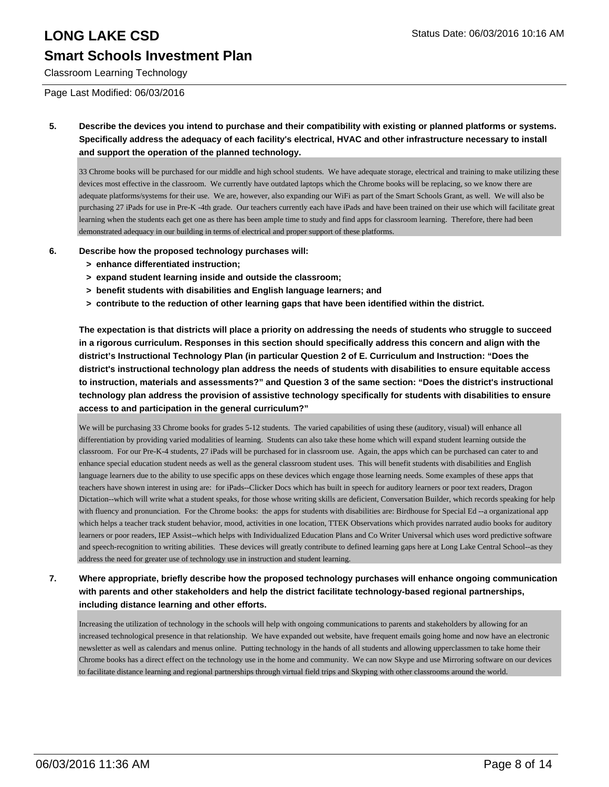## **Smart Schools Investment Plan**

Classroom Learning Technology

Page Last Modified: 06/03/2016

**5. Describe the devices you intend to purchase and their compatibility with existing or planned platforms or systems. Specifically address the adequacy of each facility's electrical, HVAC and other infrastructure necessary to install and support the operation of the planned technology.**

33 Chrome books will be purchased for our middle and high school students. We have adequate storage, electrical and training to make utilizing these devices most effective in the classroom. We currently have outdated laptops which the Chrome books will be replacing, so we know there are adequate platforms/systems for their use. We are, however, also expanding our WiFi as part of the Smart Schools Grant, as well. We will also be purchasing 27 iPads for use in Pre-K -4th grade. Our teachers currently each have iPads and have been trained on their use which will facilitate great learning when the students each get one as there has been ample time to study and find apps for classroom learning. Therefore, there had been demonstrated adequacy in our building in terms of electrical and proper support of these platforms.

#### **6. Describe how the proposed technology purchases will:**

- **> enhance differentiated instruction;**
- **> expand student learning inside and outside the classroom;**
- **> benefit students with disabilities and English language learners; and**
- **> contribute to the reduction of other learning gaps that have been identified within the district.**

**The expectation is that districts will place a priority on addressing the needs of students who struggle to succeed in a rigorous curriculum. Responses in this section should specifically address this concern and align with the district's Instructional Technology Plan (in particular Question 2 of E. Curriculum and Instruction: "Does the district's instructional technology plan address the needs of students with disabilities to ensure equitable access to instruction, materials and assessments?" and Question 3 of the same section: "Does the district's instructional technology plan address the provision of assistive technology specifically for students with disabilities to ensure access to and participation in the general curriculum?"**

We will be purchasing 33 Chrome books for grades 5-12 students. The varied capabilities of using these (auditory, visual) will enhance all differentiation by providing varied modalities of learning. Students can also take these home which will expand student learning outside the classroom. For our Pre-K-4 students, 27 iPads will be purchased for in classroom use. Again, the apps which can be purchased can cater to and enhance special education student needs as well as the general classroom student uses. This will benefit students with disabilities and English language learners due to the ability to use specific apps on these devices which engage those learning needs. Some examples of these apps that teachers have shown interest in using are: for iPads--Clicker Docs which has built in speech for auditory learners or poor text readers, Dragon Dictation--which will write what a student speaks, for those whose writing skills are deficient, Conversation Builder, which records speaking for help with fluency and pronunciation. For the Chrome books: the apps for students with disabilities are: Birdhouse for Special Ed --a organizational app which helps a teacher track student behavior, mood, activities in one location, TTEK Observations which provides narrated audio books for auditory learners or poor readers, IEP Assist--which helps with Individualized Education Plans and Co Writer Universal which uses word predictive software and speech-recognition to writing abilities. These devices will greatly contribute to defined learning gaps here at Long Lake Central School--as they address the need for greater use of technology use in instruction and student learning.

**7. Where appropriate, briefly describe how the proposed technology purchases will enhance ongoing communication with parents and other stakeholders and help the district facilitate technology-based regional partnerships, including distance learning and other efforts.**

Increasing the utilization of technology in the schools will help with ongoing communications to parents and stakeholders by allowing for an increased technological presence in that relationship. We have expanded out website, have frequent emails going home and now have an electronic newsletter as well as calendars and menus online. Putting technology in the hands of all students and allowing upperclassmen to take home their Chrome books has a direct effect on the technology use in the home and community. We can now Skype and use Mirroring software on our devices to facilitate distance learning and regional partnerships through virtual field trips and Skyping with other classrooms around the world.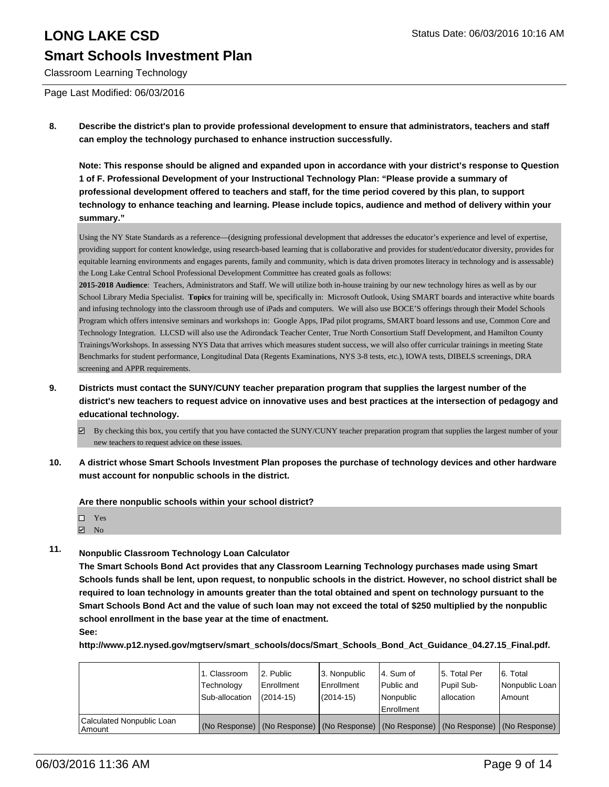Classroom Learning Technology

Page Last Modified: 06/03/2016

**8. Describe the district's plan to provide professional development to ensure that administrators, teachers and staff can employ the technology purchased to enhance instruction successfully.**

**Note: This response should be aligned and expanded upon in accordance with your district's response to Question 1 of F. Professional Development of your Instructional Technology Plan: "Please provide a summary of professional development offered to teachers and staff, for the time period covered by this plan, to support technology to enhance teaching and learning. Please include topics, audience and method of delivery within your summary."**

Using the NY State Standards as a reference—(designing professional development that addresses the educator's experience and level of expertise, providing support for content knowledge, using research-based learning that is collaborative and provides for student/educator diversity, provides for equitable learning environments and engages parents, family and community, which is data driven promotes literacy in technology and is assessable) the Long Lake Central School Professional Development Committee has created goals as follows:

**2015-2018 Audience**: Teachers, Administrators and Staff. We will utilize both in-house training by our new technology hires as well as by our School Library Media Specialist. **Topics** for training will be, specifically in: Microsoft Outlook, Using SMART boards and interactive white boards and infusing technology into the classroom through use of iPads and computers. We will also use BOCE'S offerings through their Model Schools Program which offers intensive seminars and workshops in: Google Apps, IPad pilot programs, SMART board lessons and use, Common Core and Technology Integration. LLCSD will also use the Adirondack Teacher Center, True North Consortium Staff Development, and Hamilton County Trainings/Workshops. In assessing NYS Data that arrives which measures student success, we will also offer curricular trainings in meeting State Benchmarks for student performance, Longitudinal Data (Regents Examinations, NYS 3-8 tests, etc.), IOWA tests, DIBELS screenings, DRA screening and APPR requirements.

- **9. Districts must contact the SUNY/CUNY teacher preparation program that supplies the largest number of the district's new teachers to request advice on innovative uses and best practices at the intersection of pedagogy and educational technology.**
	- By checking this box, you certify that you have contacted the SUNY/CUNY teacher preparation program that supplies the largest number of your new teachers to request advice on these issues.
- **10. A district whose Smart Schools Investment Plan proposes the purchase of technology devices and other hardware must account for nonpublic schools in the district.**

**Are there nonpublic schools within your school district?**

| $\square$ Yes     |
|-------------------|
| $\blacksquare$ No |

#### **11. Nonpublic Classroom Technology Loan Calculator**

**The Smart Schools Bond Act provides that any Classroom Learning Technology purchases made using Smart Schools funds shall be lent, upon request, to nonpublic schools in the district. However, no school district shall be required to loan technology in amounts greater than the total obtained and spent on technology pursuant to the Smart Schools Bond Act and the value of such loan may not exceed the total of \$250 multiplied by the nonpublic school enrollment in the base year at the time of enactment.**

**See:**

**http://www.p12.nysed.gov/mgtserv/smart\_schools/docs/Smart\_Schools\_Bond\_Act\_Guidance\_04.27.15\_Final.pdf.**

|                                     | 1. Classroom<br>Technology<br>Sub-allocation | 2. Public<br>Enrollment<br>$(2014 - 15)$                                                      | 3. Nonpublic<br>l Enrollment<br>$(2014-15)$ | l 4. Sum of<br>Public and<br>Nonpublic<br>Enrollment | l 5. Total Per<br>Pupil Sub-<br>lallocation | 16. Total<br>Nonpublic Loan<br>Amount |
|-------------------------------------|----------------------------------------------|-----------------------------------------------------------------------------------------------|---------------------------------------------|------------------------------------------------------|---------------------------------------------|---------------------------------------|
| Calculated Nonpublic Loan<br>Amount |                                              | (No Response)   (No Response)   (No Response)   (No Response)   (No Response)   (No Response) |                                             |                                                      |                                             |                                       |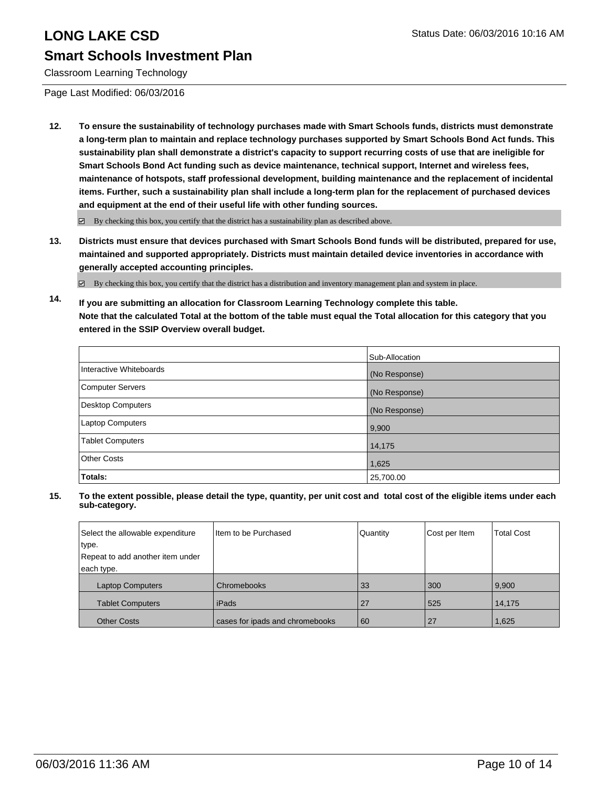### **Smart Schools Investment Plan**

Classroom Learning Technology

Page Last Modified: 06/03/2016

**12. To ensure the sustainability of technology purchases made with Smart Schools funds, districts must demonstrate a long-term plan to maintain and replace technology purchases supported by Smart Schools Bond Act funds. This sustainability plan shall demonstrate a district's capacity to support recurring costs of use that are ineligible for Smart Schools Bond Act funding such as device maintenance, technical support, Internet and wireless fees, maintenance of hotspots, staff professional development, building maintenance and the replacement of incidental items. Further, such a sustainability plan shall include a long-term plan for the replacement of purchased devices and equipment at the end of their useful life with other funding sources.**

By checking this box, you certify that the district has a sustainability plan as described above.

**13. Districts must ensure that devices purchased with Smart Schools Bond funds will be distributed, prepared for use, maintained and supported appropriately. Districts must maintain detailed device inventories in accordance with generally accepted accounting principles.**

 $\boxtimes$  By checking this box, you certify that the district has a distribution and inventory management plan and system in place.

**14. If you are submitting an allocation for Classroom Learning Technology complete this table. Note that the calculated Total at the bottom of the table must equal the Total allocation for this category that you entered in the SSIP Overview overall budget.**

|                         | Sub-Allocation |
|-------------------------|----------------|
| Interactive Whiteboards | (No Response)  |
| Computer Servers        | (No Response)  |
| Desktop Computers       | (No Response)  |
| Laptop Computers        | 9,900          |
| <b>Tablet Computers</b> | 14,175         |
| Other Costs             | 1,625          |
| Totals:                 | 25,700.00      |

| Select the allowable expenditure | Item to be Purchased            | Quantity | Cost per Item | <b>Total Cost</b> |
|----------------------------------|---------------------------------|----------|---------------|-------------------|
| type.                            |                                 |          |               |                   |
| Repeat to add another item under |                                 |          |               |                   |
| each type.                       |                                 |          |               |                   |
| <b>Laptop Computers</b>          | Chromebooks                     | 33       | 300           | 9,900             |
| <b>Tablet Computers</b>          | l iPads                         | 27       | 525           | 14,175            |
| <b>Other Costs</b>               | cases for ipads and chromebooks | 60       | 27            | 1,625             |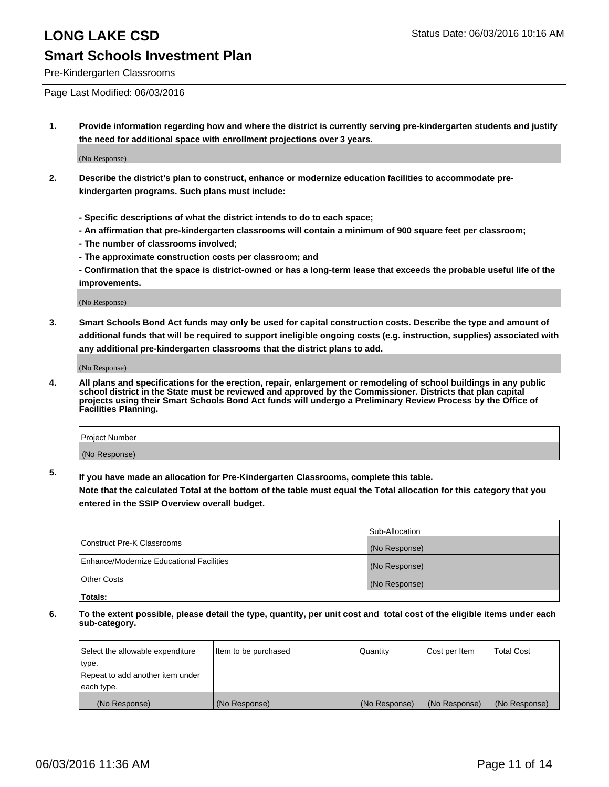#### Pre-Kindergarten Classrooms

Page Last Modified: 06/03/2016

**1. Provide information regarding how and where the district is currently serving pre-kindergarten students and justify the need for additional space with enrollment projections over 3 years.**

(No Response)

- **2. Describe the district's plan to construct, enhance or modernize education facilities to accommodate prekindergarten programs. Such plans must include:**
	- **Specific descriptions of what the district intends to do to each space;**
	- **An affirmation that pre-kindergarten classrooms will contain a minimum of 900 square feet per classroom;**
	- **The number of classrooms involved;**
	- **The approximate construction costs per classroom; and**
	- **Confirmation that the space is district-owned or has a long-term lease that exceeds the probable useful life of the improvements.**

(No Response)

**3. Smart Schools Bond Act funds may only be used for capital construction costs. Describe the type and amount of additional funds that will be required to support ineligible ongoing costs (e.g. instruction, supplies) associated with any additional pre-kindergarten classrooms that the district plans to add.**

(No Response)

**4. All plans and specifications for the erection, repair, enlargement or remodeling of school buildings in any public school district in the State must be reviewed and approved by the Commissioner. Districts that plan capital projects using their Smart Schools Bond Act funds will undergo a Preliminary Review Process by the Office of Facilities Planning.**

| Project Number |  |
|----------------|--|
| (No Response)  |  |

**5. If you have made an allocation for Pre-Kindergarten Classrooms, complete this table.**

**Note that the calculated Total at the bottom of the table must equal the Total allocation for this category that you entered in the SSIP Overview overall budget.**

|                                          | Sub-Allocation |
|------------------------------------------|----------------|
| Construct Pre-K Classrooms               | (No Response)  |
| Enhance/Modernize Educational Facilities | (No Response)  |
| Other Costs                              | (No Response)  |
| Totals:                                  |                |

| Select the allowable expenditure | Item to be purchased | Quantity      | Cost per Item | <b>Total Cost</b> |
|----------------------------------|----------------------|---------------|---------------|-------------------|
| type.                            |                      |               |               |                   |
| Repeat to add another item under |                      |               |               |                   |
| each type.                       |                      |               |               |                   |
| (No Response)                    | (No Response)        | (No Response) | (No Response) | (No Response)     |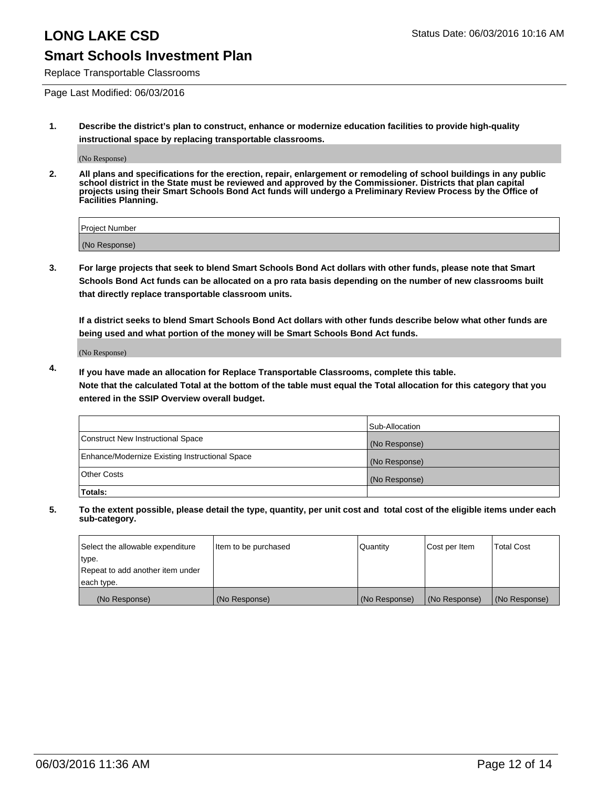Replace Transportable Classrooms

Page Last Modified: 06/03/2016

**1. Describe the district's plan to construct, enhance or modernize education facilities to provide high-quality instructional space by replacing transportable classrooms.**

(No Response)

**2. All plans and specifications for the erection, repair, enlargement or remodeling of school buildings in any public school district in the State must be reviewed and approved by the Commissioner. Districts that plan capital projects using their Smart Schools Bond Act funds will undergo a Preliminary Review Process by the Office of Facilities Planning.**

| <b>Project Number</b> |  |
|-----------------------|--|
| (No Response)         |  |

**3. For large projects that seek to blend Smart Schools Bond Act dollars with other funds, please note that Smart Schools Bond Act funds can be allocated on a pro rata basis depending on the number of new classrooms built that directly replace transportable classroom units.**

**If a district seeks to blend Smart Schools Bond Act dollars with other funds describe below what other funds are being used and what portion of the money will be Smart Schools Bond Act funds.**

(No Response)

**4. If you have made an allocation for Replace Transportable Classrooms, complete this table. Note that the calculated Total at the bottom of the table must equal the Total allocation for this category that you entered in the SSIP Overview overall budget.**

|                                                | Sub-Allocation |
|------------------------------------------------|----------------|
| Construct New Instructional Space              | (No Response)  |
| Enhance/Modernize Existing Instructional Space | (No Response)  |
| <b>Other Costs</b>                             | (No Response)  |
| Totals:                                        |                |

| Select the allowable expenditure | Item to be purchased | <b>Quantity</b> | Cost per Item | <b>Total Cost</b> |
|----------------------------------|----------------------|-----------------|---------------|-------------------|
| type.                            |                      |                 |               |                   |
| Repeat to add another item under |                      |                 |               |                   |
| each type.                       |                      |                 |               |                   |
| (No Response)                    | (No Response)        | (No Response)   | (No Response) | (No Response)     |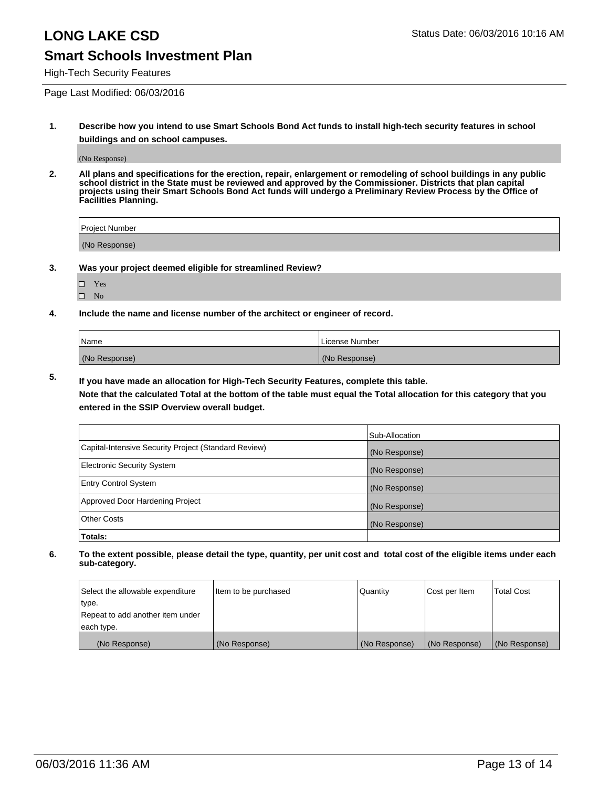High-Tech Security Features

Page Last Modified: 06/03/2016

**1. Describe how you intend to use Smart Schools Bond Act funds to install high-tech security features in school buildings and on school campuses.**

(No Response)

**2. All plans and specifications for the erection, repair, enlargement or remodeling of school buildings in any public school district in the State must be reviewed and approved by the Commissioner. Districts that plan capital projects using their Smart Schools Bond Act funds will undergo a Preliminary Review Process by the Office of Facilities Planning.** 

| Project Number |  |
|----------------|--|
| (No Response)  |  |

**3. Was your project deemed eligible for streamlined Review?**

Yes  $\hfill \square$  <br> No

**4. Include the name and license number of the architect or engineer of record.**

| Name          | License Number |
|---------------|----------------|
| (No Response) | (No Response)  |

**5. If you have made an allocation for High-Tech Security Features, complete this table.**

**Note that the calculated Total at the bottom of the table must equal the Total allocation for this category that you entered in the SSIP Overview overall budget.**

|                                                      | Sub-Allocation |
|------------------------------------------------------|----------------|
| Capital-Intensive Security Project (Standard Review) | (No Response)  |
| <b>Electronic Security System</b>                    | (No Response)  |
| <b>Entry Control System</b>                          | (No Response)  |
| Approved Door Hardening Project                      | (No Response)  |
| <b>Other Costs</b>                                   | (No Response)  |
| Totals:                                              |                |

| Select the allowable expenditure | Item to be purchased | Quantity      | Cost per Item | Total Cost    |
|----------------------------------|----------------------|---------------|---------------|---------------|
| type.                            |                      |               |               |               |
| Repeat to add another item under |                      |               |               |               |
| each type.                       |                      |               |               |               |
| (No Response)                    | (No Response)        | (No Response) | (No Response) | (No Response) |